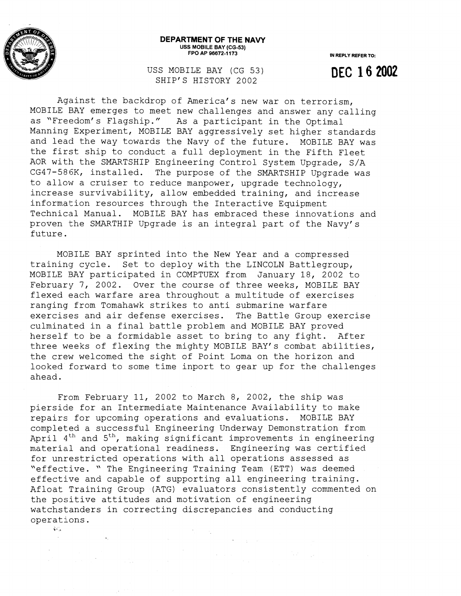

## **DEPARTMENT OF THE NAVY USS MOBILE BAY (CG-53) FPO AP 96672-1 173**

**IN REPLY REFER TO:** 

**DEC 16 2002** 

USS MOBILE BAY (CG 53) SHIP'S HISTORY 2002

Against the backdrop of America's new war on terrorism, MOBILE BAY emerges to meet new challenges and answer any calling as "Freedom's Flagship." As a participant in the Optimal Manning Experiment, MOBILE BAY aggressively set higher standards and lead the way towards the Navy of the future. MOBILE BAY was the first ship to conduct a full deployment in the Fifth Fleet AOR with the SMARTSHIP Engineering Control System Upgrade, S/A

CG47-586K, installed. The purpose of the SMARTSHIP Upgrade was to allow a cruiser to reduce manpower, upgrade technology, increase survivability, allow embedded training, and increase information resources through the Interactive Equipment Technical Manual. MOBILE BAY has embraced these innovations and proven the SMARTHIP Upgrade is an integral part of the Navy's future.

MOBILE BAY sprinted into the New Year and a compressed training cycle. Set to deploy with the LINCOLN Battlegroup, MOBILE BAY participated in COMPTUEX from January 18, 2002 to February 7, 2002. Over the course of three weeks, MOBILE BAY flexed each warfare area throughout a multitude of exercises ranging from Tomahawk strikes to anti submarine warfare exercises and air defense exercises. The Battle Group exercise culminated in a final battle problem and MOBILE BAY proved herself to be a formidable asset to bring to any fight. After three weeks of flexing the mighty MOBILE BAY'S combat abilities, the crew welcomed the sight of Point Loma on the horizon and looked forward to some time inport to gear up for the challenges ahead.

From February 11, 2002 to March 8, 2002, the ship was pierside for an Intermediate Maintenance Availability to make repairs for upcoming operations and evaluations. MOBILE BAY completed a successful Engineering Underway Demonstration from April **dth** and 5th, making significant improvements in engineering material and operational readiness. Engineering was certified for unrestricted operations with all operations assessed as "effective. " The Engineering Training Team (ETT) was deemed effective and capable of supporting all engineering training. Afloat Training Group (ATG) evaluators consistently commented on the positive attitudes and mativation of engineering watchstanders in correcting discrepancies and conducting operations.<br>36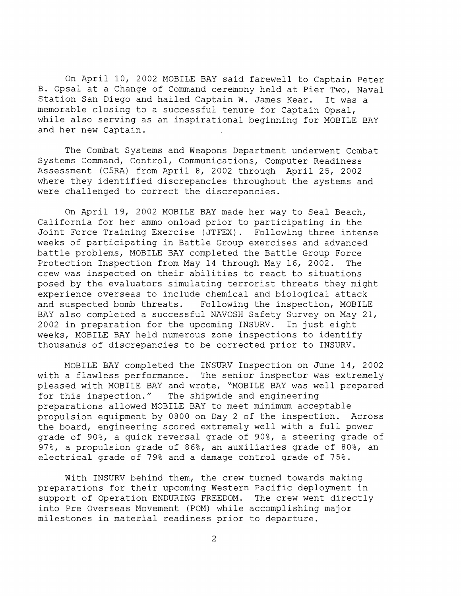On April 10, 2002 MOBILE BAY said farewell to Captain Peter B. Opsal at a Change of Command ceremony held at Pier Two, Naval Station San Diego and hailed Captain W. James Kear. It was a memorable closing to a successful tenure for Captain Opsal, while also serving as an inspirational beginning for MOBILE BAY and her new Captain.

The Combat Systems and Weapons Department underwent Combat Systems Command, Control, Communications, Computer Readiness Assessment (CSRA) from April 8, 2002 through April 25, 2002 where they identified discrepancies throughout the systems and were challenged to correct the discrepancies.

On April 19, 2002 MOBILE BAY made her way to Seal Beach, California for her ammo onload prior to participating in the Joint Force Training Exercise (JTFEX). Following three intense weeks of participating in Battle Group exercises and advanced battle problems, MOBILE BAY completed the Battle Group Force Protection Inspection from May 14 through May 16, 2002. The crew was inspected on their abilities to react to situations posed by the evaluators simulating terrorist threats they might experience overseas to include chemical and biological attack and suspected bomb threats. Following the inspection, MOBILE BAY also completed a successful NAVOSH Safety Survey on May 21, 2002 in preparation for the upcoming INSURV. In just eight weeks, MOBILE BAY held numerous zone inspections to identify thousands of discrepancies to be corrected prior to INSURV.

MOBILE BAY completed the INSURV Inspection on June 14, 2002 with a flawless performance. The senior inspector was extremely pleased with MOBILE BAY and wrote, "MOBILE BAY was well prepared for this inspection." The shipwide and engineering preparations allowed MOBILE BAY to meet minimum acceptable propulsion equipment by 0800 on Day 2 of the inspection. Across the board, engineering scored extremely well with a full power grade of 90%, a quick reversal grade of 908, a steering grade of 97%, a propulsion grade of 86%, an auxiliaries grade of 80%, an electrical grade of 79% and a damage control grade of 75%.

With INSURV behind them, the crew turned towards making preparations for their upcoming Western Pacific deployment in support of Operation ENDURING FREEDOM. The crew went directly into Pre Overseas Movement (POM) while accomplishing major milestones in material readiness prior to departure.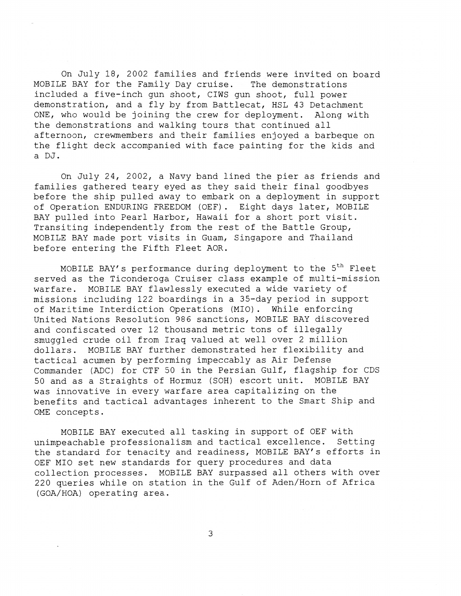On July 18, 2002 families and friends were invited on board MOBILE BAY for the Family Day cruise. The demonstrations included a five-inch gun shoot, CIWS gun shoot, full power demonstration, and a fly by from Battlecat, HSL 43 Detachment ONE, who would be joining the crew for deployment. Along with the demonstrations and walking tours that continued all afternoon, crewmembers and their families enjoyed a barbeque on the flight deck accompanied with face painting for the kids and a DJ.

On July 24, 2002, a Navy band lined the pier as friends and families gathered teary eyed as they said their final goodbyes before the ship pulled away to embark on a deployment in support of Operation ENDURING FREEDOM (OEF) . Eight days later, MOBILE BAY pulled into Pearl Harbor, Hawaii for a short port visit. Transiting independently from the rest of the Battle Group, MOBILE BAY made port visits in Guam, Singapore and Thailand before entering the Fifth Fleet AOR.

MOBILE BAY's performance during deployment to the  $5<sup>th</sup>$  Fleet served as the Ticonderoga Cruiser class example of multi-mission warfare. MOBILE BAY flawlessly executed a wide variety of missions including 122 boardings in a 35-day period in support of Maritime Interdiction Operations (MIO) . While enforcing United Nations Resolution 986 sanctions, MOBILE BAY discovered and confiscated over 12 thousand metric tons of illegally smuggled crude oil from Iraq valued at well over 2 million dollars. MOBILE BAY further demonstrated her flexibility and tactical acumen by performing impeccably as Air Defense Commander (ADC) for CTF 50 in the Persian Gulf, flagship for CDS 50 and as a Straights of Hormuz (SOH) escort unit. MOBILE BAY was innovative in every warfare area capitalizing on the benefits and tactical advantages inherent to the Smart Ship and OME concepts.

MOBILE BAY executed all tasking in support of OEF with unimpeachable professionalism and tactical excellence. Setting the standard for tenacity and readiness, MOBILE BAY'S efforts in OEF MI0 set new standards for query procedures and data collection processes. MOBILE BAY surpassed all others with over 220 queries while on station in the Gulf of Aden/Horn of Africa (GOA/HOA) operating area.